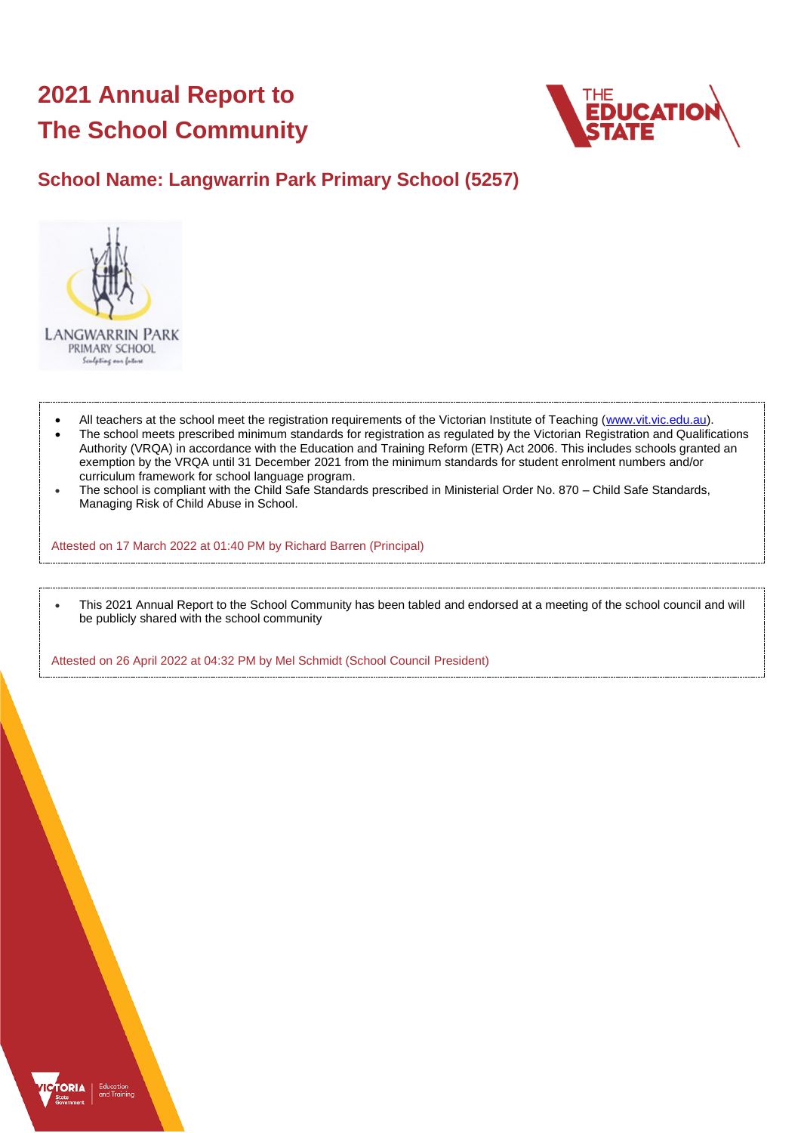# **2021 Annual Report to The School Community**



# **School Name: Langwarrin Park Primary School (5257)**



- All teachers at the school meet the registration requirements of the Victorian Institute of Teaching [\(www.vit.vic.edu.au\)](https://www.vit.vic.edu.au/).
- The school meets prescribed minimum standards for registration as regulated by the Victorian Registration and Qualifications Authority (VRQA) in accordance with the Education and Training Reform (ETR) Act 2006. This includes schools granted an exemption by the VRQA until 31 December 2021 from the minimum standards for student enrolment numbers and/or curriculum framework for school language program.
- The school is compliant with the Child Safe Standards prescribed in Ministerial Order No. 870 Child Safe Standards, Managing Risk of Child Abuse in School.

Attested on 17 March 2022 at 01:40 PM by Richard Barren (Principal)

• This 2021 Annual Report to the School Community has been tabled and endorsed at a meeting of the school council and will be publicly shared with the school community

Attested on 26 April 2022 at 04:32 PM by Mel Schmidt (School Council President)

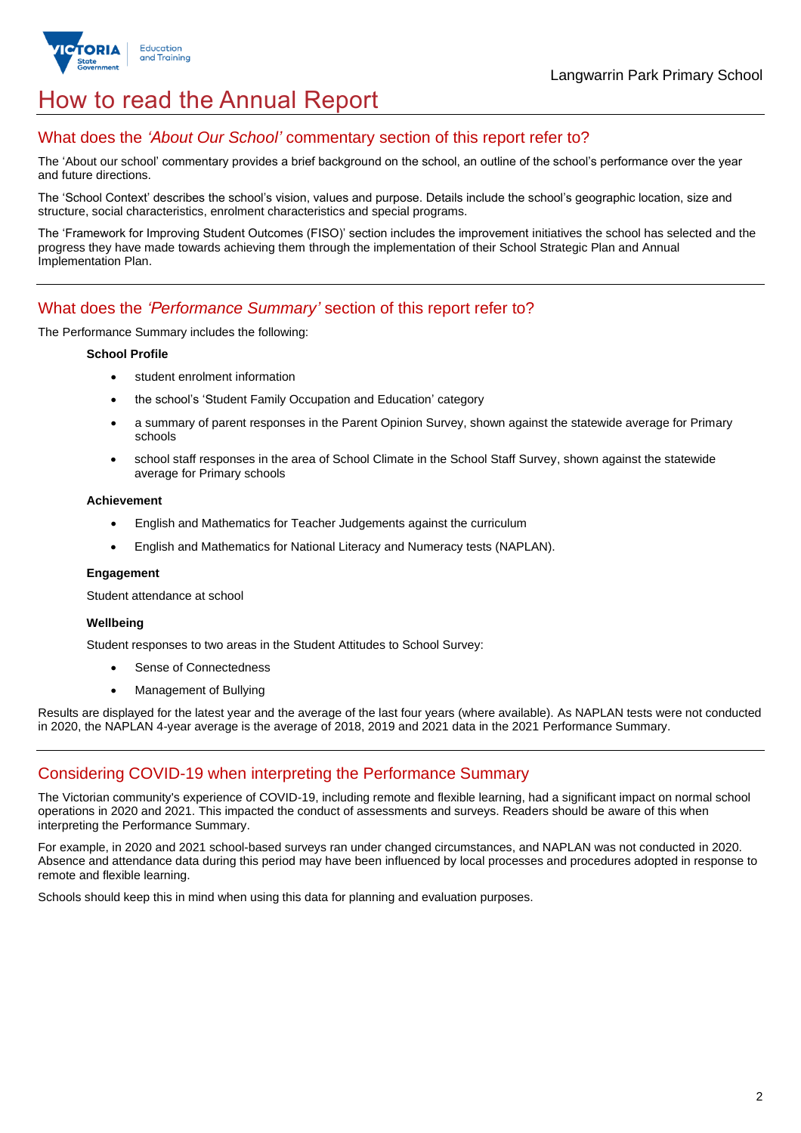

# How to read the Annual Report

# What does the *'About Our School'* commentary section of this report refer to?

The 'About our school' commentary provides a brief background on the school, an outline of the school's performance over the year and future directions.

The 'School Context' describes the school's vision, values and purpose. Details include the school's geographic location, size and structure, social characteristics, enrolment characteristics and special programs.

The 'Framework for Improving Student Outcomes (FISO)' section includes the improvement initiatives the school has selected and the progress they have made towards achieving them through the implementation of their School Strategic Plan and Annual Implementation Plan.

## What does the *'Performance Summary'* section of this report refer to?

The Performance Summary includes the following:

#### **School Profile**

- student enrolment information
- the school's 'Student Family Occupation and Education' category
- a summary of parent responses in the Parent Opinion Survey, shown against the statewide average for Primary schools
- school staff responses in the area of School Climate in the School Staff Survey, shown against the statewide average for Primary schools

#### **Achievement**

- English and Mathematics for Teacher Judgements against the curriculum
- English and Mathematics for National Literacy and Numeracy tests (NAPLAN).

#### **Engagement**

Student attendance at school

#### **Wellbeing**

Student responses to two areas in the Student Attitudes to School Survey:

- Sense of Connectedness
- Management of Bullying

Results are displayed for the latest year and the average of the last four years (where available). As NAPLAN tests were not conducted in 2020, the NAPLAN 4-year average is the average of 2018, 2019 and 2021 data in the 2021 Performance Summary.

# Considering COVID-19 when interpreting the Performance Summary

The Victorian community's experience of COVID-19, including remote and flexible learning, had a significant impact on normal school operations in 2020 and 2021. This impacted the conduct of assessments and surveys. Readers should be aware of this when interpreting the Performance Summary.

For example, in 2020 and 2021 school-based surveys ran under changed circumstances, and NAPLAN was not conducted in 2020. Absence and attendance data during this period may have been influenced by local processes and procedures adopted in response to remote and flexible learning.

Schools should keep this in mind when using this data for planning and evaluation purposes.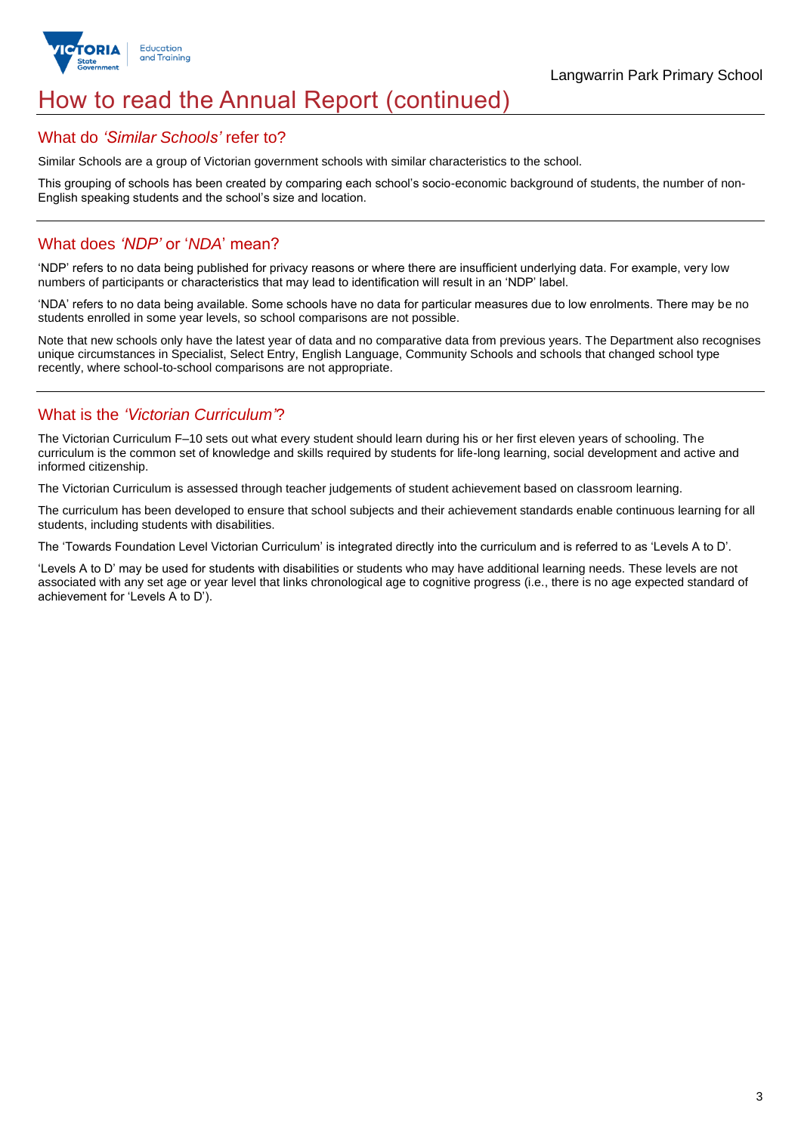

# How to read the Annual Report (continued)

## What do *'Similar Schools'* refer to?

Similar Schools are a group of Victorian government schools with similar characteristics to the school.

This grouping of schools has been created by comparing each school's socio-economic background of students, the number of non-English speaking students and the school's size and location.

# What does *'NDP'* or '*NDA*' mean?

'NDP' refers to no data being published for privacy reasons or where there are insufficient underlying data. For example, very low numbers of participants or characteristics that may lead to identification will result in an 'NDP' label.

'NDA' refers to no data being available. Some schools have no data for particular measures due to low enrolments. There may be no students enrolled in some year levels, so school comparisons are not possible.

Note that new schools only have the latest year of data and no comparative data from previous years. The Department also recognises unique circumstances in Specialist, Select Entry, English Language, Community Schools and schools that changed school type recently, where school-to-school comparisons are not appropriate.

# What is the *'Victorian Curriculum'*?

The Victorian Curriculum F–10 sets out what every student should learn during his or her first eleven years of schooling. The curriculum is the common set of knowledge and skills required by students for life-long learning, social development and active and informed citizenship.

The Victorian Curriculum is assessed through teacher judgements of student achievement based on classroom learning.

The curriculum has been developed to ensure that school subjects and their achievement standards enable continuous learning for all students, including students with disabilities.

The 'Towards Foundation Level Victorian Curriculum' is integrated directly into the curriculum and is referred to as 'Levels A to D'.

'Levels A to D' may be used for students with disabilities or students who may have additional learning needs. These levels are not associated with any set age or year level that links chronological age to cognitive progress (i.e., there is no age expected standard of achievement for 'Levels A to D').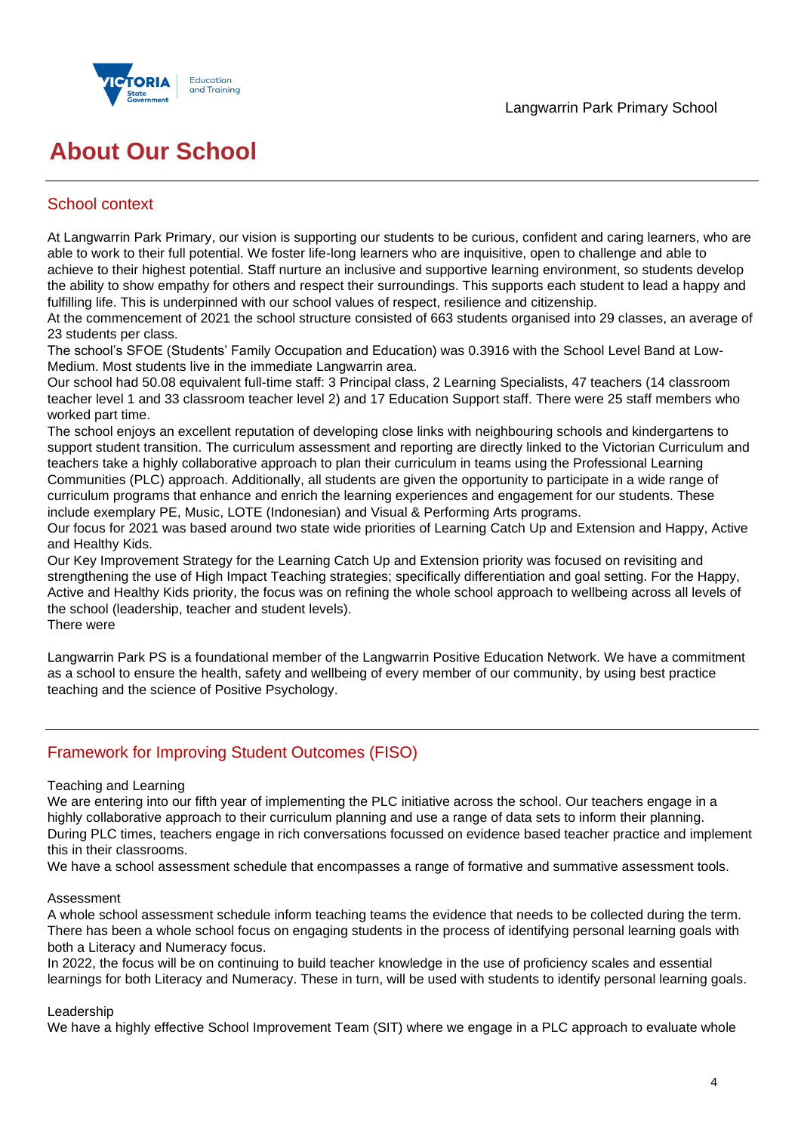

# **About Our School**

# School context

At Langwarrin Park Primary, our vision is supporting our students to be curious, confident and caring learners, who are able to work to their full potential. We foster life-long learners who are inquisitive, open to challenge and able to achieve to their highest potential. Staff nurture an inclusive and supportive learning environment, so students develop the ability to show empathy for others and respect their surroundings. This supports each student to lead a happy and fulfilling life. This is underpinned with our school values of respect, resilience and citizenship.

At the commencement of 2021 the school structure consisted of 663 students organised into 29 classes, an average of 23 students per class.

The school's SFOE (Students' Family Occupation and Education) was 0.3916 with the School Level Band at Low-Medium. Most students live in the immediate Langwarrin area.

Our school had 50.08 equivalent full-time staff: 3 Principal class, 2 Learning Specialists, 47 teachers (14 classroom teacher level 1 and 33 classroom teacher level 2) and 17 Education Support staff. There were 25 staff members who worked part time.

The school enjoys an excellent reputation of developing close links with neighbouring schools and kindergartens to support student transition. The curriculum assessment and reporting are directly linked to the Victorian Curriculum and teachers take a highly collaborative approach to plan their curriculum in teams using the Professional Learning Communities (PLC) approach. Additionally, all students are given the opportunity to participate in a wide range of curriculum programs that enhance and enrich the learning experiences and engagement for our students. These include exemplary PE, Music, LOTE (Indonesian) and Visual & Performing Arts programs.

Our focus for 2021 was based around two state wide priorities of Learning Catch Up and Extension and Happy, Active and Healthy Kids.

Our Key Improvement Strategy for the Learning Catch Up and Extension priority was focused on revisiting and strengthening the use of High Impact Teaching strategies; specifically differentiation and goal setting. For the Happy, Active and Healthy Kids priority, the focus was on refining the whole school approach to wellbeing across all levels of the school (leadership, teacher and student levels).

There were

Langwarrin Park PS is a foundational member of the Langwarrin Positive Education Network. We have a commitment as a school to ensure the health, safety and wellbeing of every member of our community, by using best practice teaching and the science of Positive Psychology.

# Framework for Improving Student Outcomes (FISO)

## Teaching and Learning

We are entering into our fifth year of implementing the PLC initiative across the school. Our teachers engage in a highly collaborative approach to their curriculum planning and use a range of data sets to inform their planning. During PLC times, teachers engage in rich conversations focussed on evidence based teacher practice and implement this in their classrooms.

We have a school assessment schedule that encompasses a range of formative and summative assessment tools.

## Assessment

A whole school assessment schedule inform teaching teams the evidence that needs to be collected during the term. There has been a whole school focus on engaging students in the process of identifying personal learning goals with both a Literacy and Numeracy focus.

In 2022, the focus will be on continuing to build teacher knowledge in the use of proficiency scales and essential learnings for both Literacy and Numeracy. These in turn, will be used with students to identify personal learning goals.

## Leadership

We have a highly effective School Improvement Team (SIT) where we engage in a PLC approach to evaluate whole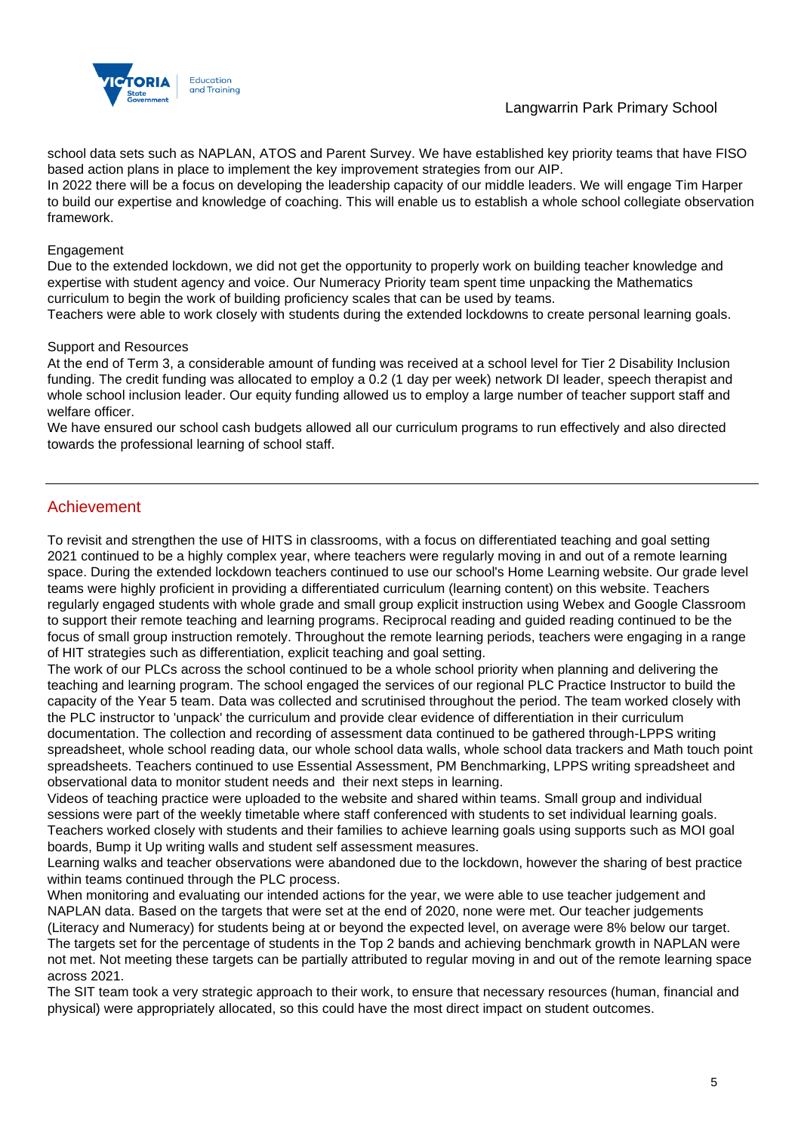

# Langwarrin Park Primary School

school data sets such as NAPLAN, ATOS and Parent Survey. We have established key priority teams that have FISO based action plans in place to implement the key improvement strategies from our AIP.

In 2022 there will be a focus on developing the leadership capacity of our middle leaders. We will engage Tim Harper to build our expertise and knowledge of coaching. This will enable us to establish a whole school collegiate observation framework.

### Engagement

Due to the extended lockdown, we did not get the opportunity to properly work on building teacher knowledge and expertise with student agency and voice. Our Numeracy Priority team spent time unpacking the Mathematics curriculum to begin the work of building proficiency scales that can be used by teams.

Teachers were able to work closely with students during the extended lockdowns to create personal learning goals.

### Support and Resources

At the end of Term 3, a considerable amount of funding was received at a school level for Tier 2 Disability Inclusion funding. The credit funding was allocated to employ a 0.2 (1 day per week) network DI leader, speech therapist and whole school inclusion leader. Our equity funding allowed us to employ a large number of teacher support staff and welfare officer.

We have ensured our school cash budgets allowed all our curriculum programs to run effectively and also directed towards the professional learning of school staff.

# Achievement

To revisit and strengthen the use of HITS in classrooms, with a focus on differentiated teaching and goal setting 2021 continued to be a highly complex year, where teachers were regularly moving in and out of a remote learning space. During the extended lockdown teachers continued to use our school's Home Learning website. Our grade level teams were highly proficient in providing a differentiated curriculum (learning content) on this website. Teachers regularly engaged students with whole grade and small group explicit instruction using Webex and Google Classroom to support their remote teaching and learning programs. Reciprocal reading and guided reading continued to be the focus of small group instruction remotely. Throughout the remote learning periods, teachers were engaging in a range of HIT strategies such as differentiation, explicit teaching and goal setting.

The work of our PLCs across the school continued to be a whole school priority when planning and delivering the teaching and learning program. The school engaged the services of our regional PLC Practice Instructor to build the capacity of the Year 5 team. Data was collected and scrutinised throughout the period. The team worked closely with the PLC instructor to 'unpack' the curriculum and provide clear evidence of differentiation in their curriculum documentation. The collection and recording of assessment data continued to be gathered through-LPPS writing spreadsheet, whole school reading data, our whole school data walls, whole school data trackers and Math touch point spreadsheets. Teachers continued to use Essential Assessment, PM Benchmarking, LPPS writing spreadsheet and observational data to monitor student needs and their next steps in learning.

Videos of teaching practice were uploaded to the website and shared within teams. Small group and individual sessions were part of the weekly timetable where staff conferenced with students to set individual learning goals. Teachers worked closely with students and their families to achieve learning goals using supports such as MOI goal boards, Bump it Up writing walls and student self assessment measures.

Learning walks and teacher observations were abandoned due to the lockdown, however the sharing of best practice within teams continued through the PLC process.

When monitoring and evaluating our intended actions for the year, we were able to use teacher judgement and NAPLAN data. Based on the targets that were set at the end of 2020, none were met. Our teacher judgements (Literacy and Numeracy) for students being at or beyond the expected level, on average were 8% below our target. The targets set for the percentage of students in the Top 2 bands and achieving benchmark growth in NAPLAN were not met. Not meeting these targets can be partially attributed to regular moving in and out of the remote learning space across 2021.

The SIT team took a very strategic approach to their work, to ensure that necessary resources (human, financial and physical) were appropriately allocated, so this could have the most direct impact on student outcomes.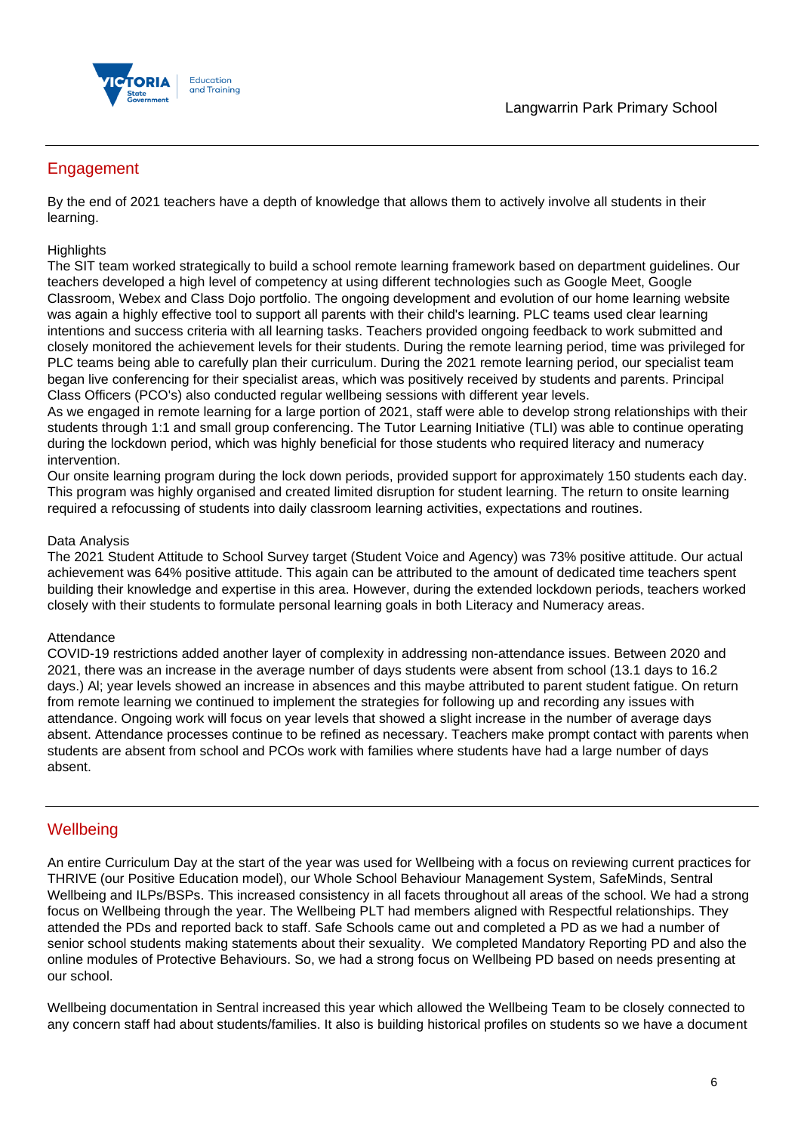

# Engagement

By the end of 2021 teachers have a depth of knowledge that allows them to actively involve all students in their learning.

## **Highlights**

The SIT team worked strategically to build a school remote learning framework based on department guidelines. Our teachers developed a high level of competency at using different technologies such as Google Meet, Google Classroom, Webex and Class Dojo portfolio. The ongoing development and evolution of our home learning website was again a highly effective tool to support all parents with their child's learning. PLC teams used clear learning intentions and success criteria with all learning tasks. Teachers provided ongoing feedback to work submitted and closely monitored the achievement levels for their students. During the remote learning period, time was privileged for PLC teams being able to carefully plan their curriculum. During the 2021 remote learning period, our specialist team began live conferencing for their specialist areas, which was positively received by students and parents. Principal Class Officers (PCO's) also conducted regular wellbeing sessions with different year levels.

As we engaged in remote learning for a large portion of 2021, staff were able to develop strong relationships with their students through 1:1 and small group conferencing. The Tutor Learning Initiative (TLI) was able to continue operating during the lockdown period, which was highly beneficial for those students who required literacy and numeracy intervention.

Our onsite learning program during the lock down periods, provided support for approximately 150 students each day. This program was highly organised and created limited disruption for student learning. The return to onsite learning required a refocussing of students into daily classroom learning activities, expectations and routines.

## Data Analysis

The 2021 Student Attitude to School Survey target (Student Voice and Agency) was 73% positive attitude. Our actual achievement was 64% positive attitude. This again can be attributed to the amount of dedicated time teachers spent building their knowledge and expertise in this area. However, during the extended lockdown periods, teachers worked closely with their students to formulate personal learning goals in both Literacy and Numeracy areas.

## Attendance

COVID-19 restrictions added another layer of complexity in addressing non-attendance issues. Between 2020 and 2021, there was an increase in the average number of days students were absent from school (13.1 days to 16.2 days.) Al; year levels showed an increase in absences and this maybe attributed to parent student fatigue. On return from remote learning we continued to implement the strategies for following up and recording any issues with attendance. Ongoing work will focus on year levels that showed a slight increase in the number of average days absent. Attendance processes continue to be refined as necessary. Teachers make prompt contact with parents when students are absent from school and PCOs work with families where students have had a large number of days absent.

## **Wellbeing**

An entire Curriculum Day at the start of the year was used for Wellbeing with a focus on reviewing current practices for THRIVE (our Positive Education model), our Whole School Behaviour Management System, SafeMinds, Sentral Wellbeing and ILPs/BSPs. This increased consistency in all facets throughout all areas of the school. We had a strong focus on Wellbeing through the year. The Wellbeing PLT had members aligned with Respectful relationships. They attended the PDs and reported back to staff. Safe Schools came out and completed a PD as we had a number of senior school students making statements about their sexuality. We completed Mandatory Reporting PD and also the online modules of Protective Behaviours. So, we had a strong focus on Wellbeing PD based on needs presenting at our school.

Wellbeing documentation in Sentral increased this year which allowed the Wellbeing Team to be closely connected to any concern staff had about students/families. It also is building historical profiles on students so we have a document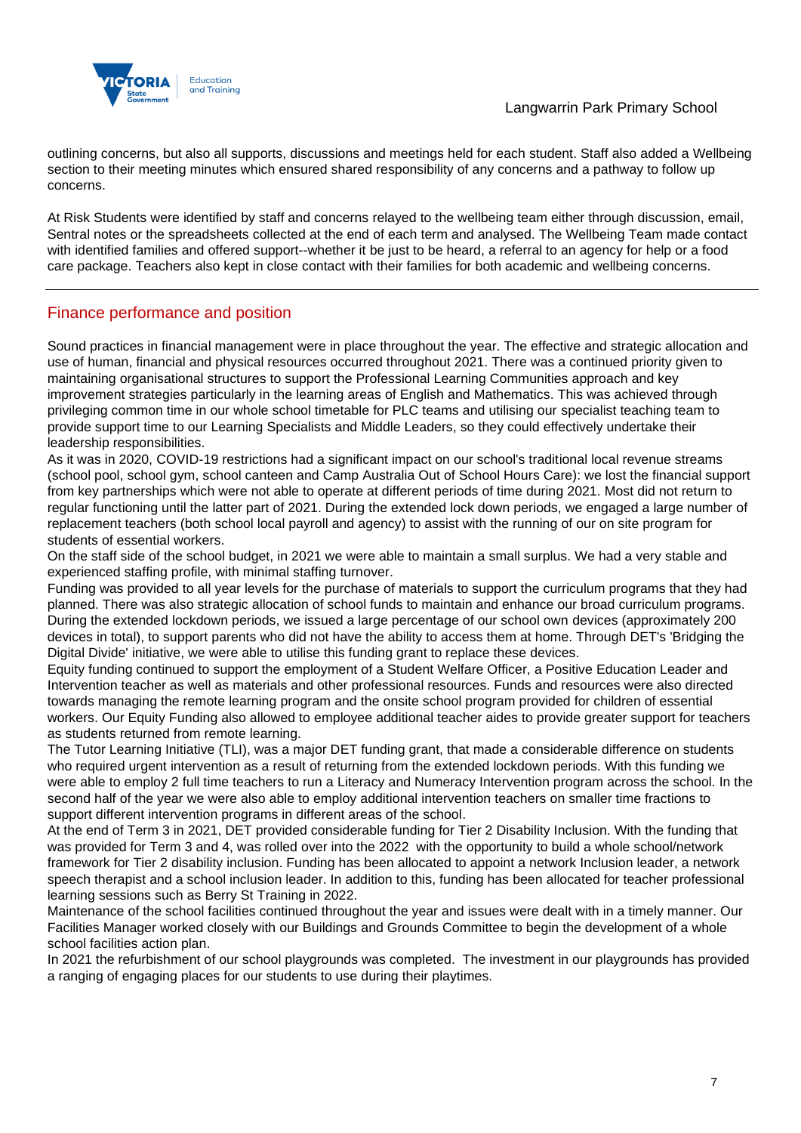

outlining concerns, but also all supports, discussions and meetings held for each student. Staff also added a Wellbeing section to their meeting minutes which ensured shared responsibility of any concerns and a pathway to follow up concerns.

At Risk Students were identified by staff and concerns relayed to the wellbeing team either through discussion, email, Sentral notes or the spreadsheets collected at the end of each term and analysed. The Wellbeing Team made contact with identified families and offered support--whether it be just to be heard, a referral to an agency for help or a food care package. Teachers also kept in close contact with their families for both academic and wellbeing concerns.

# Finance performance and position

Sound practices in financial management were in place throughout the year. The effective and strategic allocation and use of human, financial and physical resources occurred throughout 2021. There was a continued priority given to maintaining organisational structures to support the Professional Learning Communities approach and key improvement strategies particularly in the learning areas of English and Mathematics. This was achieved through privileging common time in our whole school timetable for PLC teams and utilising our specialist teaching team to provide support time to our Learning Specialists and Middle Leaders, so they could effectively undertake their leadership responsibilities.

As it was in 2020, COVID-19 restrictions had a significant impact on our school's traditional local revenue streams (school pool, school gym, school canteen and Camp Australia Out of School Hours Care): we lost the financial support from key partnerships which were not able to operate at different periods of time during 2021. Most did not return to regular functioning until the latter part of 2021. During the extended lock down periods, we engaged a large number of replacement teachers (both school local payroll and agency) to assist with the running of our on site program for students of essential workers.

On the staff side of the school budget, in 2021 we were able to maintain a small surplus. We had a very stable and experienced staffing profile, with minimal staffing turnover.

Funding was provided to all year levels for the purchase of materials to support the curriculum programs that they had planned. There was also strategic allocation of school funds to maintain and enhance our broad curriculum programs. During the extended lockdown periods, we issued a large percentage of our school own devices (approximately 200 devices in total), to support parents who did not have the ability to access them at home. Through DET's 'Bridging the Digital Divide' initiative, we were able to utilise this funding grant to replace these devices.

Equity funding continued to support the employment of a Student Welfare Officer, a Positive Education Leader and Intervention teacher as well as materials and other professional resources. Funds and resources were also directed towards managing the remote learning program and the onsite school program provided for children of essential workers. Our Equity Funding also allowed to employee additional teacher aides to provide greater support for teachers as students returned from remote learning.

The Tutor Learning Initiative (TLI), was a major DET funding grant, that made a considerable difference on students who required urgent intervention as a result of returning from the extended lockdown periods. With this funding we were able to employ 2 full time teachers to run a Literacy and Numeracy Intervention program across the school. In the second half of the year we were also able to employ additional intervention teachers on smaller time fractions to support different intervention programs in different areas of the school.

At the end of Term 3 in 2021, DET provided considerable funding for Tier 2 Disability Inclusion. With the funding that was provided for Term 3 and 4, was rolled over into the 2022 with the opportunity to build a whole school/network framework for Tier 2 disability inclusion. Funding has been allocated to appoint a network Inclusion leader, a network speech therapist and a school inclusion leader. In addition to this, funding has been allocated for teacher professional learning sessions such as Berry St Training in 2022.

Maintenance of the school facilities continued throughout the year and issues were dealt with in a timely manner. Our Facilities Manager worked closely with our Buildings and Grounds Committee to begin the development of a whole school facilities action plan.

In 2021 the refurbishment of our school playgrounds was completed. The investment in our playgrounds has provided a ranging of engaging places for our students to use during their playtimes.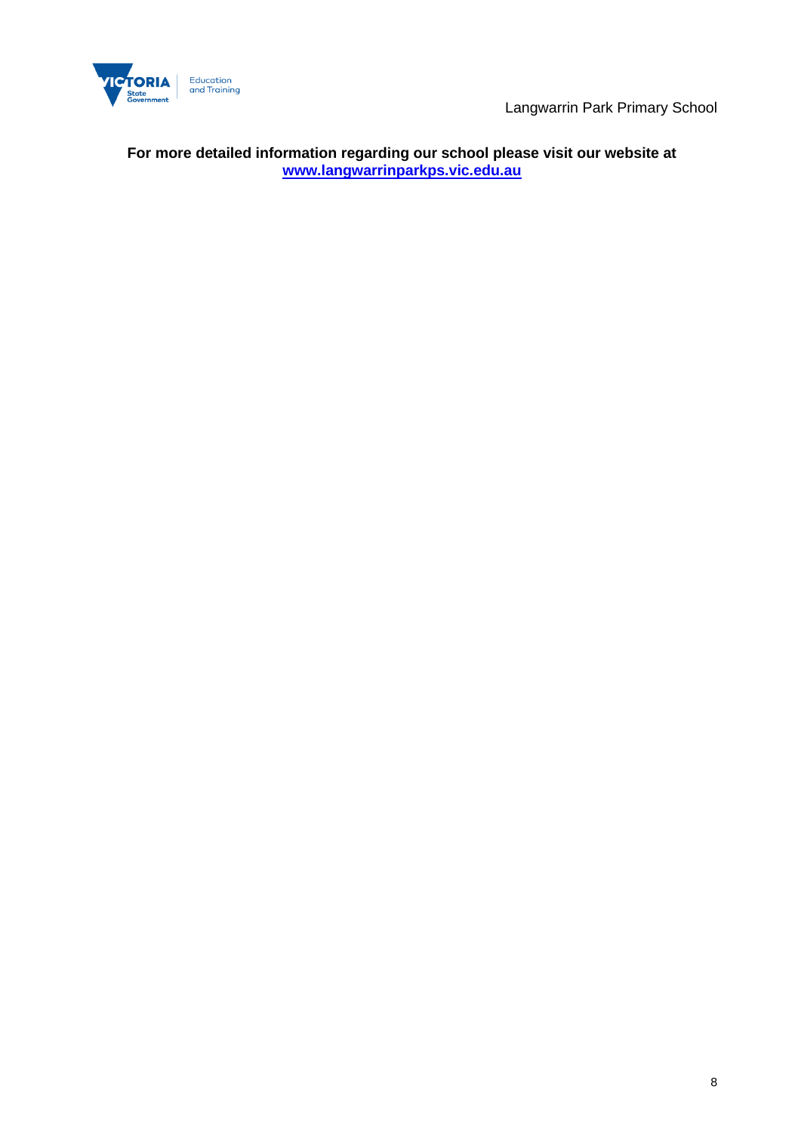

Langwarrin Park Primary School

**For more detailed information regarding our school please visit our website at <www.langwarrinparkps.vic.edu.au>**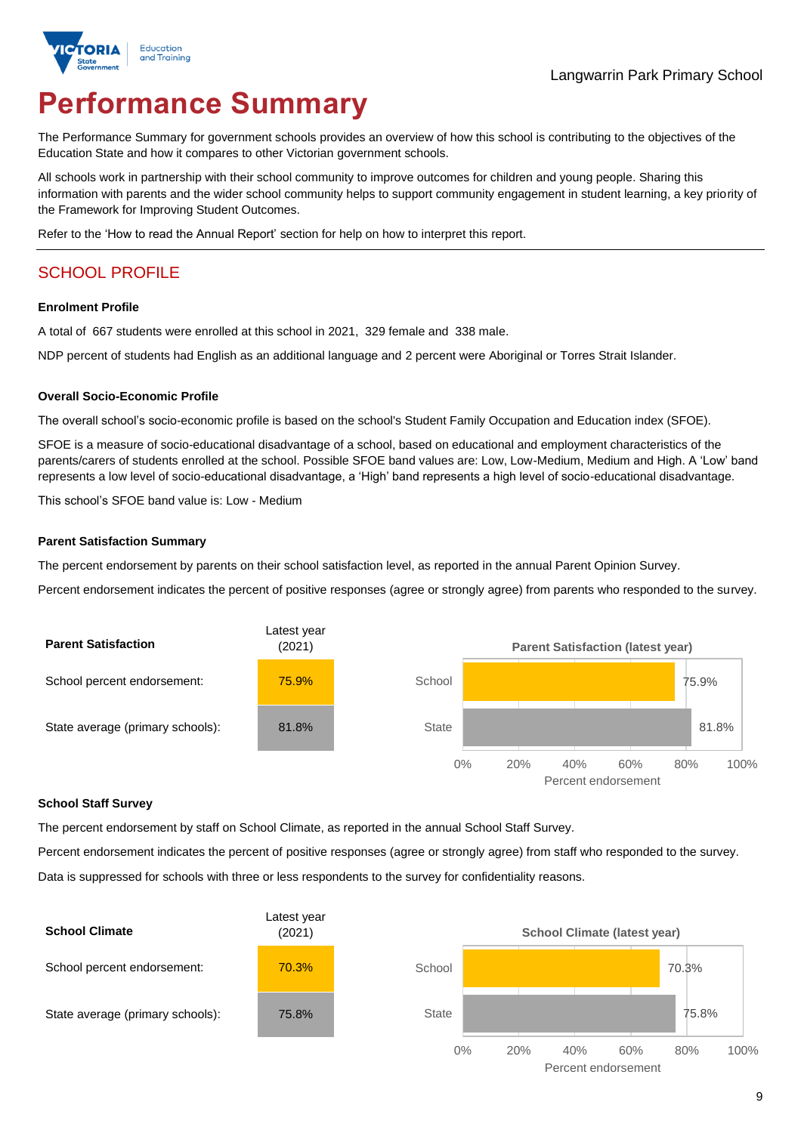

# **Performance Summary**

The Performance Summary for government schools provides an overview of how this school is contributing to the objectives of the Education State and how it compares to other Victorian government schools.

All schools work in partnership with their school community to improve outcomes for children and young people. Sharing this information with parents and the wider school community helps to support community engagement in student learning, a key priority of the Framework for Improving Student Outcomes.

Refer to the 'How to read the Annual Report' section for help on how to interpret this report.

# SCHOOL PROFILE

#### **Enrolment Profile**

A total of 667 students were enrolled at this school in 2021, 329 female and 338 male.

NDP percent of students had English as an additional language and 2 percent were Aboriginal or Torres Strait Islander.

#### **Overall Socio-Economic Profile**

The overall school's socio-economic profile is based on the school's Student Family Occupation and Education index (SFOE).

SFOE is a measure of socio-educational disadvantage of a school, based on educational and employment characteristics of the parents/carers of students enrolled at the school. Possible SFOE band values are: Low, Low-Medium, Medium and High. A 'Low' band represents a low level of socio-educational disadvantage, a 'High' band represents a high level of socio-educational disadvantage.

This school's SFOE band value is: Low - Medium

#### **Parent Satisfaction Summary**

The percent endorsement by parents on their school satisfaction level, as reported in the annual Parent Opinion Survey.

Percent endorsement indicates the percent of positive responses (agree or strongly agree) from parents who responded to the survey.



#### **School Staff Survey**

The percent endorsement by staff on School Climate, as reported in the annual School Staff Survey.

Percent endorsement indicates the percent of positive responses (agree or strongly agree) from staff who responded to the survey. Data is suppressed for schools with three or less respondents to the survey for confidentiality reasons.

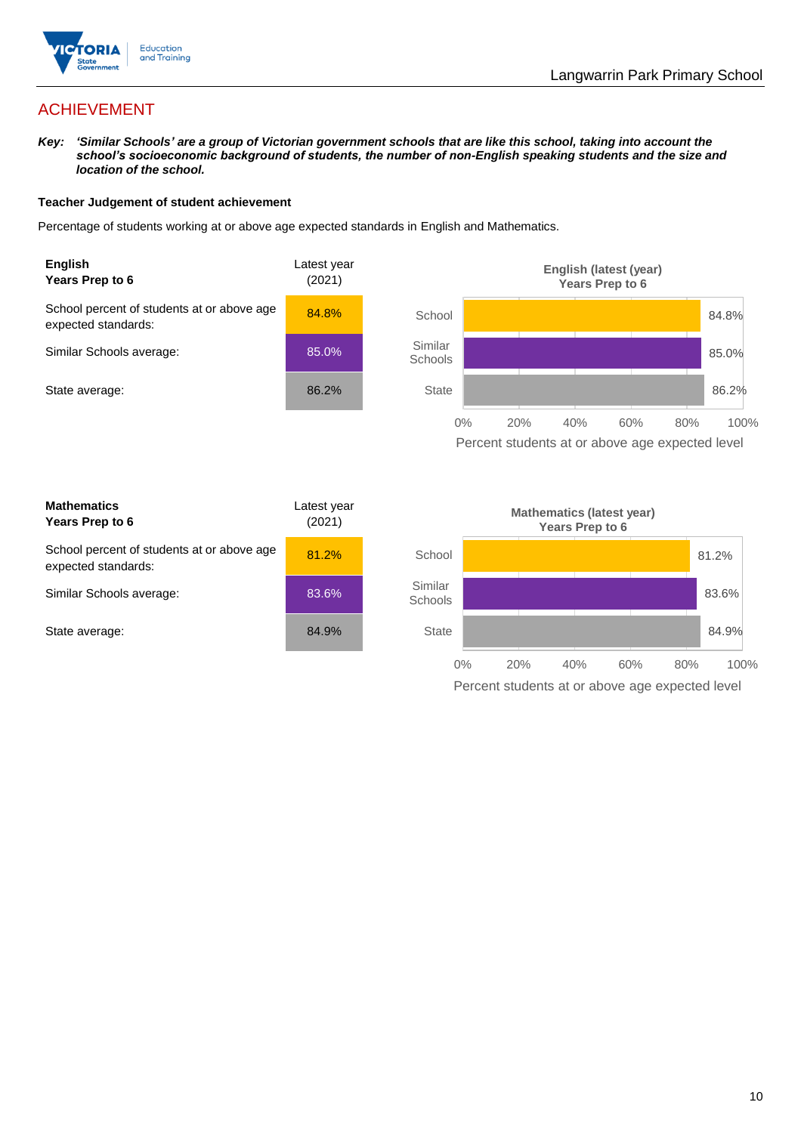

# ACHIEVEMENT

*Key: 'Similar Schools' are a group of Victorian government schools that are like this school, taking into account the school's socioeconomic background of students, the number of non-English speaking students and the size and location of the school.*

#### **Teacher Judgement of student achievement**

Percentage of students working at or above age expected standards in English and Mathematics.



Percent students at or above age expected level

| <b>Mathematics</b><br>Years Prep to 6                             | Latest year<br>(2021) |
|-------------------------------------------------------------------|-----------------------|
| School percent of students at or above age<br>expected standards: | 81.2%                 |
| Similar Schools average:                                          | 83.6%                 |
| State average:                                                    | 84.9%                 |

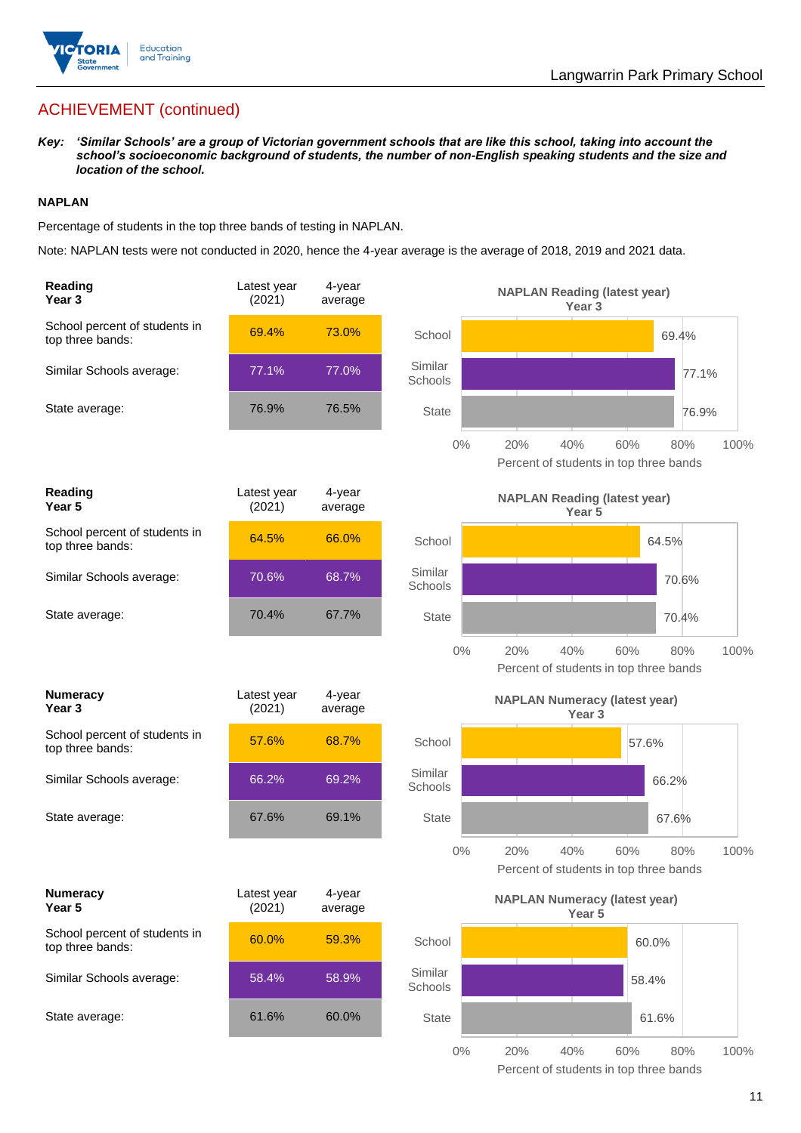

# ACHIEVEMENT (continued)

*Key: 'Similar Schools' are a group of Victorian government schools that are like this school, taking into account the school's socioeconomic background of students, the number of non-English speaking students and the size and location of the school.*

### **NAPLAN**

Percentage of students in the top three bands of testing in NAPLAN.

Note: NAPLAN tests were not conducted in 2020, hence the 4-year average is the average of 2018, 2019 and 2021 data.

| Reading<br>Year <sub>3</sub>                      | Latest year<br>(2021) | 4-year<br>average |                    | <b>NAPLAN Reading (latest year)</b><br>Year <sub>3</sub>  |                                                      |      |
|---------------------------------------------------|-----------------------|-------------------|--------------------|-----------------------------------------------------------|------------------------------------------------------|------|
| School percent of students in<br>top three bands: | 69.4%                 | 73.0%             | School             |                                                           | 69.4%                                                |      |
| Similar Schools average:                          | 77.1%                 | 77.0%             | Similar<br>Schools |                                                           | 77.1%                                                |      |
| State average:                                    | 76.9%                 | 76.5%             | <b>State</b>       |                                                           | 76.9%                                                |      |
|                                                   |                       |                   | $0\%$              | 20%<br>40%                                                | 60%<br>80%<br>Percent of students in top three bands | 100% |
| Reading<br>Year 5                                 | Latest year<br>(2021) | 4-year<br>average |                    | <b>NAPLAN Reading (latest year)</b><br>Year 5             |                                                      |      |
| School percent of students in<br>top three bands: | 64.5%                 | 66.0%             | School             |                                                           | 64.5%                                                |      |
| Similar Schools average:                          | 70.6%                 | 68.7%             | Similar<br>Schools |                                                           | 70.6%                                                |      |
| State average:                                    | 70.4%                 | 67.7%             | <b>State</b>       |                                                           | 70.4%                                                |      |
|                                                   |                       |                   | $0\%$              | 20%<br>40%                                                | 60%<br>80%<br>Percent of students in top three bands | 100% |
|                                                   |                       |                   |                    |                                                           |                                                      |      |
| <b>Numeracy</b><br>Year <sub>3</sub>              | Latest year<br>(2021) | 4-year<br>average |                    | <b>NAPLAN Numeracy (latest year)</b><br>Year <sub>3</sub> |                                                      |      |
| School percent of students in<br>top three bands: | 57.6%                 | 68.7%             | School             |                                                           | 57.6%                                                |      |
| Similar Schools average:                          | 66.2%                 | 69.2%             | Similar<br>Schools |                                                           | 66.2%                                                |      |
| State average:                                    | 67.6%                 | 69.1%             | <b>State</b>       |                                                           | 67.6%                                                |      |
|                                                   |                       |                   | $0\%$              | 20%<br>40%                                                | 60%<br>80%<br>Percent of students in top three bands | 100% |
| <b>Numeracy</b><br>Year 5                         | Latest year<br>(2021) | 4-year<br>average |                    | <b>NAPLAN Numeracy (latest year)</b><br>Year 5            |                                                      |      |
| School percent of students in<br>top three bands: | 60.0%                 | 59.3%             | School             |                                                           | 60.0%                                                |      |
| Similar Schools average:                          | 58.4%                 | 58.9%             | Similar<br>Schools |                                                           | 58.4%                                                |      |
| State average:                                    | 61.6%                 | 60.0%             | <b>State</b>       |                                                           | 61.6%                                                |      |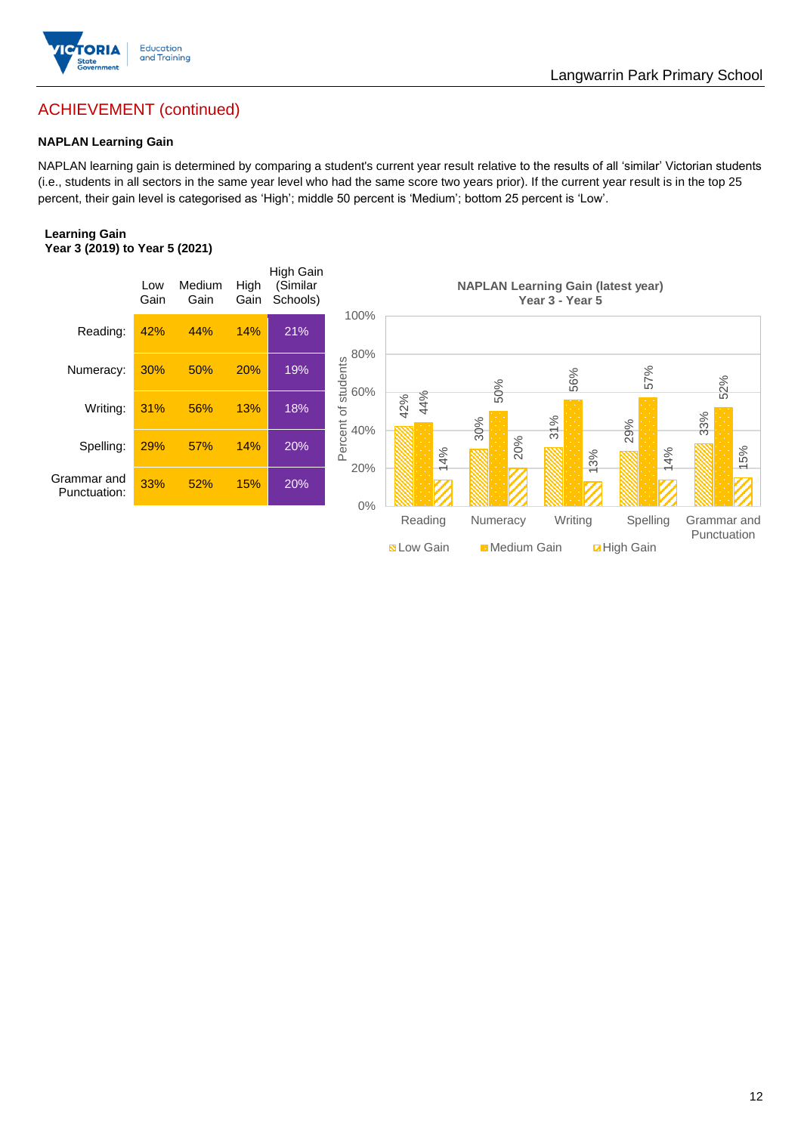

# Langwarrin Park Primary School

# ACHIEVEMENT (continued)

## **NAPLAN Learning Gain**

NAPLAN learning gain is determined by comparing a student's current year result relative to the results of all 'similar' Victorian students (i.e., students in all sectors in the same year level who had the same score two years prior). If the current year result is in the top 25 percent, their gain level is categorised as 'High'; middle 50 percent is 'Medium'; bottom 25 percent is 'Low'.

#### **Learning Gain Year 3 (2019) to Year 5 (2021)**

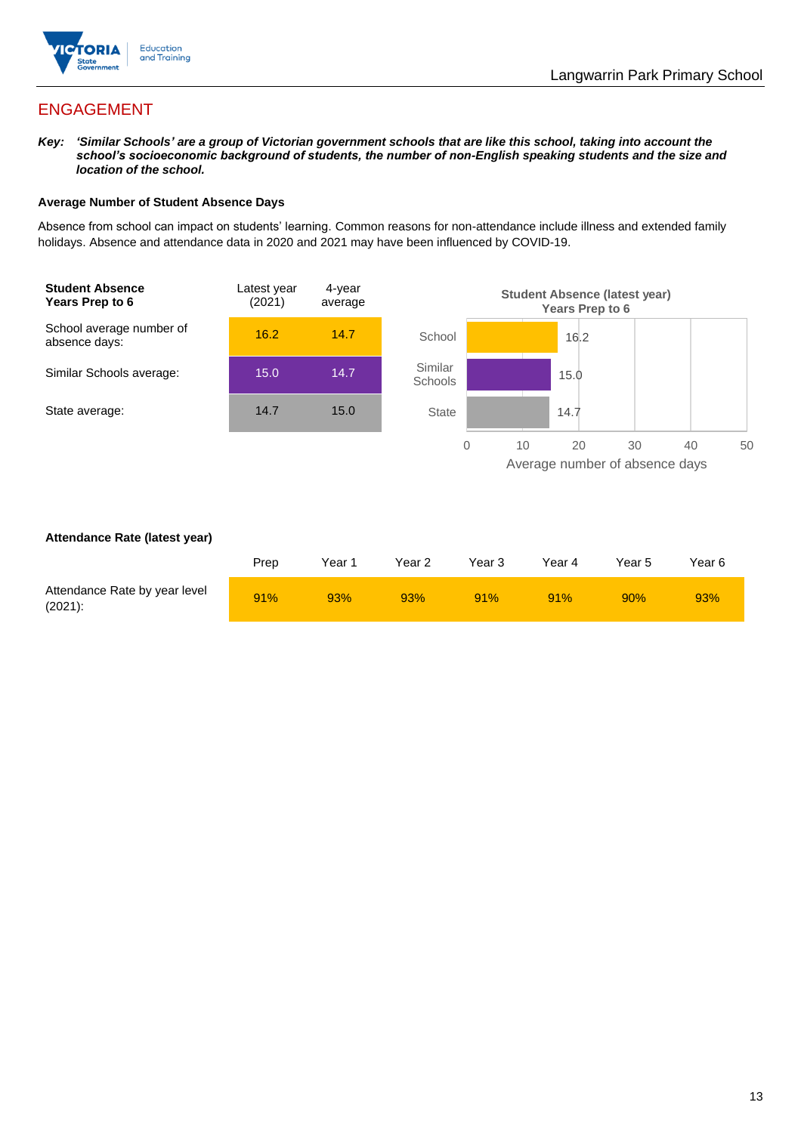

# ENGAGEMENT

*Key: 'Similar Schools' are a group of Victorian government schools that are like this school, taking into account the school's socioeconomic background of students, the number of non-English speaking students and the size and location of the school.*

#### **Average Number of Student Absence Days**

Absence from school can impact on students' learning. Common reasons for non-attendance include illness and extended family holidays. Absence and attendance data in 2020 and 2021 may have been influenced by COVID-19.



#### **Attendance Rate (latest year)**

|                                             | Prep | Year 1 | Year 2 | Year 3 | Year 4 | Year 5 | Year 6 |
|---------------------------------------------|------|--------|--------|--------|--------|--------|--------|
| Attendance Rate by year level<br>$(2021)$ : | 91%  | 93%    | 93%    | 91%    | 91%    | 90%    | 93%    |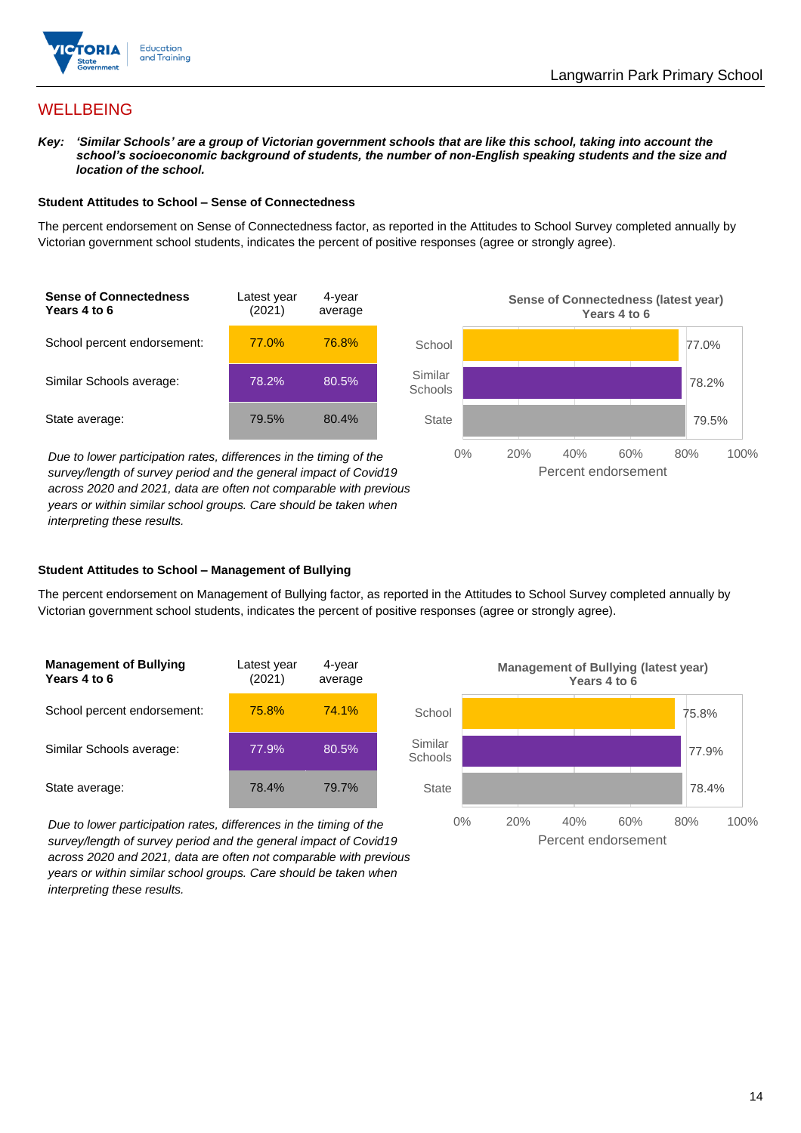

# **WELLBEING**

*Key: 'Similar Schools' are a group of Victorian government schools that are like this school, taking into account the school's socioeconomic background of students, the number of non-English speaking students and the size and location of the school.*

#### **Student Attitudes to School – Sense of Connectedness**

The percent endorsement on Sense of Connectedness factor, as reported in the Attitudes to School Survey completed annually by Victorian government school students, indicates the percent of positive responses (agree or strongly agree).



*Due to lower participation rates, differences in the timing of the survey/length of survey period and the general impact of Covid19 across 2020 and 2021, data are often not comparable with previous years or within similar school groups. Care should be taken when interpreting these results.*



#### **Student Attitudes to School – Management of Bullying**

The percent endorsement on Management of Bullying factor, as reported in the Attitudes to School Survey completed annually by Victorian government school students, indicates the percent of positive responses (agree or strongly agree).

| <b>Management of Bullying</b><br>Years 4 to 6 | Latest year<br>(2021) | 4-year<br>average |  |
|-----------------------------------------------|-----------------------|-------------------|--|
| School percent endorsement:                   | 75.8%                 | 74.1%             |  |
| Similar Schools average:                      | 77.9%                 | 80.5%             |  |
| State average:                                | 78.4%                 | 79.7%             |  |

*Due to lower participation rates, differences in the timing of the survey/length of survey period and the general impact of Covid19 across 2020 and 2021, data are often not comparable with previous years or within similar school groups. Care should be taken when interpreting these results.*

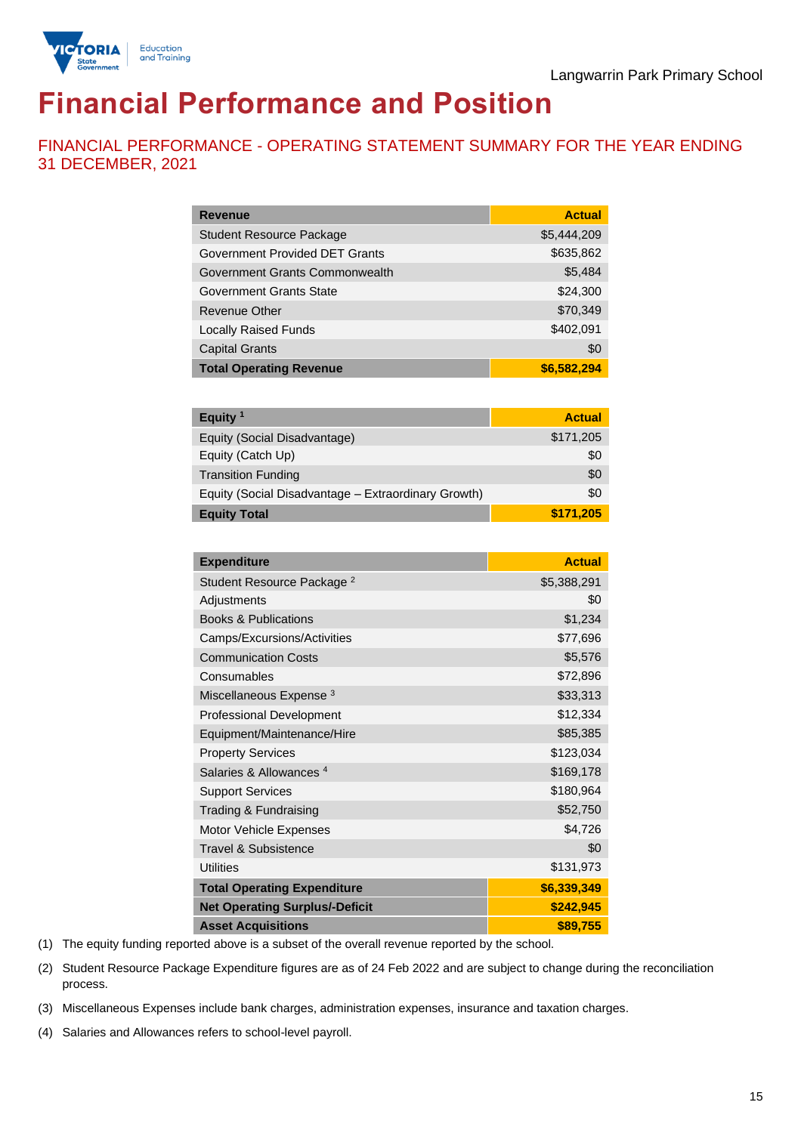

# **Financial Performance and Position**

FINANCIAL PERFORMANCE - OPERATING STATEMENT SUMMARY FOR THE YEAR ENDING 31 DECEMBER, 2021

| <b>Revenue</b>                  | <b>Actual</b> |
|---------------------------------|---------------|
| <b>Student Resource Package</b> | \$5,444,209   |
| Government Provided DET Grants  | \$635,862     |
| Government Grants Commonwealth  | \$5,484       |
| Government Grants State         | \$24,300      |
| Revenue Other                   | \$70,349      |
| <b>Locally Raised Funds</b>     | \$402,091     |
| <b>Capital Grants</b>           | \$0           |
| <b>Total Operating Revenue</b>  | \$6,582,294   |

| Equity $1$                                          | <b>Actual</b> |
|-----------------------------------------------------|---------------|
| Equity (Social Disadvantage)                        | \$171,205     |
| Equity (Catch Up)                                   | \$0           |
| <b>Transition Funding</b>                           | \$0           |
| Equity (Social Disadvantage - Extraordinary Growth) | \$0           |
| <b>Equity Total</b>                                 | \$171,205     |

| <b>Expenditure</b>                    | <b>Actual</b> |
|---------------------------------------|---------------|
| Student Resource Package <sup>2</sup> | \$5,388,291   |
| Adjustments                           | \$0           |
| <b>Books &amp; Publications</b>       | \$1,234       |
| Camps/Excursions/Activities           | \$77,696      |
| <b>Communication Costs</b>            | \$5,576       |
| Consumables                           | \$72,896      |
| Miscellaneous Expense <sup>3</sup>    | \$33,313      |
| <b>Professional Development</b>       | \$12,334      |
| Equipment/Maintenance/Hire            | \$85,385      |
| <b>Property Services</b>              | \$123,034     |
| Salaries & Allowances <sup>4</sup>    | \$169,178     |
| <b>Support Services</b>               | \$180,964     |
| Trading & Fundraising                 | \$52,750      |
| Motor Vehicle Expenses                | \$4,726       |
| Travel & Subsistence                  | \$0           |
| <b>Utilities</b>                      | \$131,973     |
| <b>Total Operating Expenditure</b>    | \$6,339,349   |
| <b>Net Operating Surplus/-Deficit</b> | \$242,945     |
| <b>Asset Acquisitions</b>             | \$89,755      |

(1) The equity funding reported above is a subset of the overall revenue reported by the school.

(2) Student Resource Package Expenditure figures are as of 24 Feb 2022 and are subject to change during the reconciliation process.

(3) Miscellaneous Expenses include bank charges, administration expenses, insurance and taxation charges.

(4) Salaries and Allowances refers to school-level payroll.